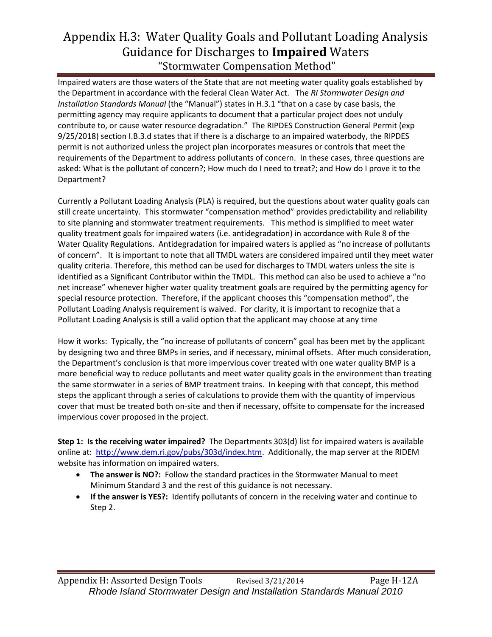## Appendix H.3: Water Quality Goals and Pollutant Loading Analysis Guidance for Discharges to **Impaired** Waters "Stormwater Compensation Method"

Impaired waters are those waters of the State that are not meeting water quality goals established by the Department in accordance with the federal Clean Water Act. The *RI Stormwater Design and Installation Standards Manual* (the "Manual") states in H.3.1 "that on a case by case basis, the permitting agency may require applicants to document that a particular project does not unduly contribute to, or cause water resource degradation." The RIPDES Construction General Permit (exp 9/25/2018) section I.B.3.d states that if there is a discharge to an impaired waterbody, the RIPDES permit is not authorized unless the project plan incorporates measures or controls that meet the requirements of the Department to address pollutants of concern. In these cases, three questions are asked: What is the pollutant of concern?; How much do I need to treat?; and How do I prove it to the Department?

Currently a Pollutant Loading Analysis (PLA) is required, but the questions about water quality goals can still create uncertainty. This stormwater "compensation method" provides predictability and reliability to site planning and stormwater treatment requirements. This method is simplified to meet water quality treatment goals for impaired waters (i.e. antidegradation) in accordance with Rule 8 of the Water Quality Regulations. Antidegradation for impaired waters is applied as "no increase of pollutants of concern". It is important to note that all TMDL waters are considered impaired until they meet water quality criteria. Therefore, this method can be used for discharges to TMDL waters unless the site is identified as a Significant Contributor within the TMDL. This method can also be used to achieve a "no net increase" whenever higher water quality treatment goals are required by the permitting agency for special resource protection. Therefore, if the applicant chooses this "compensation method", the Pollutant Loading Analysis requirement is waived. For clarity, it is important to recognize that a Pollutant Loading Analysis is still a valid option that the applicant may choose at any time

How it works: Typically, the "no increase of pollutants of concern" goal has been met by the applicant by designing two and three BMPs in series, and if necessary, minimal offsets. After much consideration, the Department's conclusion is that more impervious cover treated with one water quality BMP is a more beneficial way to reduce pollutants and meet water quality goals in the environment than treating the same stormwater in a series of BMP treatment trains. In keeping with that concept, this method steps the applicant through a series of calculations to provide them with the quantity of impervious cover that must be treated both on-site and then if necessary, offsite to compensate for the increased impervious cover proposed in the project.

**Step 1: Is the receiving water impaired?** The Departments 303(d) list for impaired waters is available online at: [http://www.dem.ri.gov/pubs/303d/index.htm.](http://www.dem.ri.gov/pubs/303d/index.htm) Additionally, the map server at the RIDEM website has information on impaired waters.

- **The answer is NO?:** Follow the standard practices in the Stormwater Manual to meet Minimum Standard 3 and the rest of this guidance is not necessary.
- **If the answer is YES?:** Identify pollutants of concern in the receiving water and continue to Step 2.